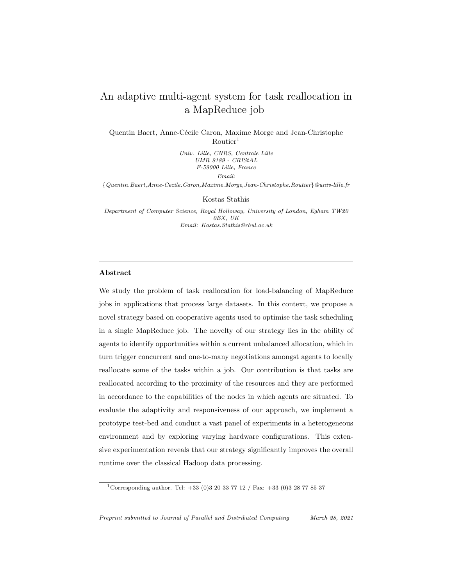# An adaptive multi-agent system for task reallocation in a MapReduce job

Quentin Baert, Anne-Cécile Caron, Maxime Morge and Jean-Christophe  $R$ outier<sup>1</sup>

> Univ. Lille, CNRS, Centrale Lille UMR 9189 - CRIStAL F-59000 Lille, France Email:

{Quentin.Baert,Anne-Cecile.Caron,Maxime.Morge,Jean-Christophe.Routier}@univ-lille.fr

Kostas Stathis

Department of Computer Science, Royal Holloway, University of London, Egham TW20 0EX, UK Email: Kostas.Stathis@rhul.ac.uk

# Abstract

We study the problem of task reallocation for load-balancing of MapReduce jobs in applications that process large datasets. In this context, we propose a novel strategy based on cooperative agents used to optimise the task scheduling in a single MapReduce job. The novelty of our strategy lies in the ability of agents to identify opportunities within a current unbalanced allocation, which in turn trigger concurrent and one-to-many negotiations amongst agents to locally reallocate some of the tasks within a job. Our contribution is that tasks are reallocated according to the proximity of the resources and they are performed in accordance to the capabilities of the nodes in which agents are situated. To evaluate the adaptivity and responsiveness of our approach, we implement a prototype test-bed and conduct a vast panel of experiments in a heterogeneous environment and by exploring varying hardware configurations. This extensive experimentation reveals that our strategy significantly improves the overall runtime over the classical Hadoop data processing.

<sup>&</sup>lt;sup>1</sup> Corresponding author. Tel:  $+33$  (0)3 20 33 77 12 / Fax:  $+33$  (0)3 28 77 85 37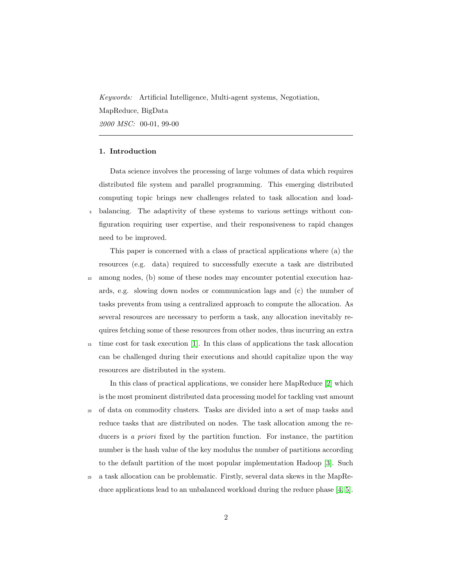Keywords: Artificial Intelligence, Multi-agent systems, Negotiation, MapReduce, BigData 2000 MSC: 00-01, 99-00

# 1. Introduction

Data science involves the processing of large volumes of data which requires distributed file system and parallel programming. This emerging distributed computing topic brings new challenges related to task allocation and load-<sup>5</sup> balancing. The adaptivity of these systems to various settings without configuration requiring user expertise, and their responsiveness to rapid changes need to be improved.

This paper is concerned with a class of practical applications where (a) the resources (e.g. data) required to successfully execute a task are distributed <sup>10</sup> among nodes, (b) some of these nodes may encounter potential execution hazards, e.g. slowing down nodes or communication lags and (c) the number of tasks prevents from using a centralized approach to compute the allocation. As several resources are necessary to perform a task, any allocation inevitably requires fetching some of these resources from other nodes, thus incurring an extra <sup>15</sup> time cost for task execution [\[1\]](#page-33-0). In this class of applications the task allocation can be challenged during their executions and should capitalize upon the way

resources are distributed in the system.

In this class of practical applications, we consider here MapReduce [\[2\]](#page-33-1) which is the most prominent distributed data processing model for tackling vast amount <sup>20</sup> of data on commodity clusters. Tasks are divided into a set of map tasks and reduce tasks that are distributed on nodes. The task allocation among the reducers is a *priori* fixed by the partition function. For instance, the partition number is the hash value of the key modulus the number of partitions according to the default partition of the most popular implementation Hadoop [\[3\]](#page-33-2). Such

<sup>25</sup> a task allocation can be problematic. Firstly, several data skews in the MapReduce applications lead to an unbalanced workload during the reduce phase [\[4,](#page-34-0) [5\]](#page-34-1).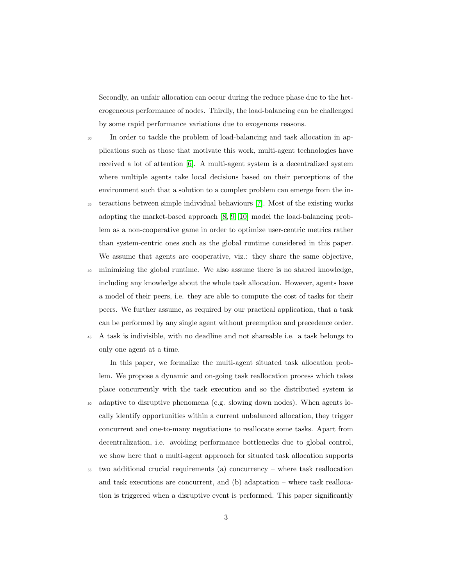Secondly, an unfair allocation can occur during the reduce phase due to the heterogeneous performance of nodes. Thirdly, the load-balancing can be challenged by some rapid performance variations due to exogenous reasons.

- <sup>30</sup> In order to tackle the problem of load-balancing and task allocation in applications such as those that motivate this work, multi-agent technologies have received a lot of attention [\[6\]](#page-34-2). A multi-agent system is a decentralized system where multiple agents take local decisions based on their perceptions of the environment such that a solution to a complex problem can emerge from the in-
- <sup>35</sup> teractions between simple individual behaviours [\[7\]](#page-34-3). Most of the existing works adopting the market-based approach [\[8,](#page-34-4) [9,](#page-34-5) [10\]](#page-34-6) model the load-balancing problem as a non-cooperative game in order to optimize user-centric metrics rather than system-centric ones such as the global runtime considered in this paper. We assume that agents are cooperative, viz.: they share the same objective,
- <sup>40</sup> minimizing the global runtime. We also assume there is no shared knowledge, including any knowledge about the whole task allocation. However, agents have a model of their peers, i.e. they are able to compute the cost of tasks for their peers. We further assume, as required by our practical application, that a task can be performed by any single agent without preemption and precedence order.
- <sup>45</sup> A task is indivisible, with no deadline and not shareable i.e. a task belongs to only one agent at a time.

In this paper, we formalize the multi-agent situated task allocation problem. We propose a dynamic and on-going task reallocation process which takes place concurrently with the task execution and so the distributed system is <sup>50</sup> adaptive to disruptive phenomena (e.g. slowing down nodes). When agents locally identify opportunities within a current unbalanced allocation, they trigger concurrent and one-to-many negotiations to reallocate some tasks. Apart from decentralization, i.e. avoiding performance bottlenecks due to global control, we show here that a multi-agent approach for situated task allocation supports

<sup>55</sup> two additional crucial requirements (a) concurrency – where task reallocation and task executions are concurrent, and (b) adaptation – where task reallocation is triggered when a disruptive event is performed. This paper significantly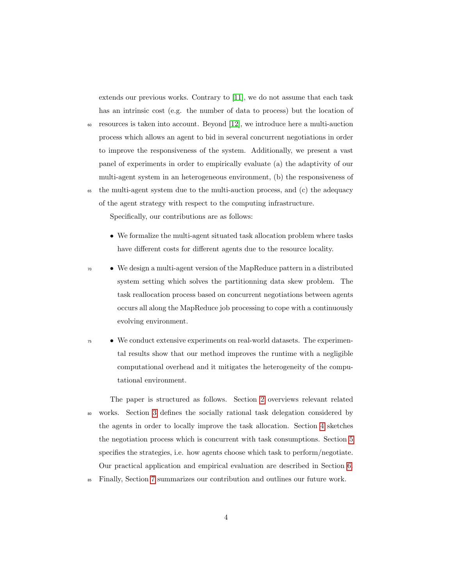extends our previous works. Contrary to [\[11\]](#page-34-7), we do not assume that each task has an intrinsic cost (e.g. the number of data to process) but the location of

- $\omega$  resources is taken into account. Beyond [\[12\]](#page-34-8), we introduce here a multi-auction process which allows an agent to bid in several concurrent negotiations in order to improve the responsiveness of the system. Additionally, we present a vast panel of experiments in order to empirically evaluate (a) the adaptivity of our multi-agent system in an heterogeneous environment, (b) the responsiveness of
- <sup>65</sup> the multi-agent system due to the multi-auction process, and (c) the adequacy of the agent strategy with respect to the computing infrastructure.

Specifically, our contributions are as follows:

- We formalize the multi-agent situated task allocation problem where tasks have different costs for different agents due to the resource locality.
- <sup>70</sup> We design a multi-agent version of the MapReduce pattern in a distributed system setting which solves the partitionning data skew problem. The task reallocation process based on concurrent negotiations between agents occurs all along the MapReduce job processing to cope with a continuously evolving environment.
- We conduct extensive experiments on real-world datasets. The experimental results show that our method improves the runtime with a negligible computational overhead and it mitigates the heterogeneity of the computational environment.

The paper is structured as follows. Section [2](#page-4-0) overviews relevant related <sup>80</sup> works. Section [3](#page-8-0) defines the socially rational task delegation considered by the agents in order to locally improve the task allocation. Section [4](#page-12-0) sketches the negotiation process which is concurrent with task consumptions. Section [5](#page-16-0) specifies the strategies, i.e. how agents choose which task to perform/negotiate. Our practical application and empirical evaluation are described in Section [6.](#page-19-0)

<sup>85</sup> Finally, Section [7](#page-31-0) summarizes our contribution and outlines our future work.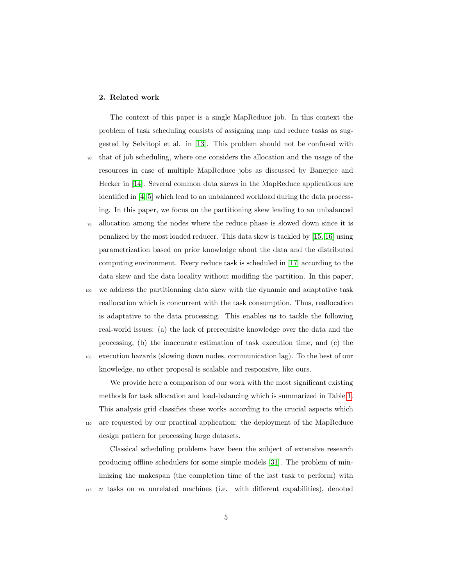# <span id="page-4-0"></span>2. Related work

The context of this paper is a single MapReduce job. In this context the problem of task scheduling consists of assigning map and reduce tasks as suggested by Selvitopi et al. in [\[13\]](#page-35-0). This problem should not be confused with <sup>90</sup> that of job scheduling, where one considers the allocation and the usage of the resources in case of multiple MapReduce jobs as discussed by Banerjee and Hecker in [\[14\]](#page-35-1). Several common data skews in the MapReduce applications are identified in [\[4,](#page-34-0) [5\]](#page-34-1) which lead to an unbalanced workload during the data processing. In this paper, we focus on the partitioning skew leading to an unbalanced

- <sup>95</sup> allocation among the nodes where the reduce phase is slowed down since it is penalized by the most loaded reducer. This data skew is tackled by [\[15,](#page-35-2) [16\]](#page-35-3) using parametrization based on prior knowledge about the data and the distributed computing environment. Every reduce task is scheduled in [\[17\]](#page-35-4) according to the data skew and the data locality without modifing the partition. In this paper,
- <sup>100</sup> we address the partitionning data skew with the dynamic and adaptative task reallocation which is concurrent with the task consumption. Thus, reallocation is adaptative to the data processing. This enables us to tackle the following real-world issues: (a) the lack of prerequisite knowledge over the data and the processing, (b) the inaccurate estimation of task execution time, and (c) the <sup>105</sup> execution hazards (slowing down nodes, communication lag). To the best of our knowledge, no other proposal is scalable and responsive, like ours.

We provide here a comparison of our work with the most significant existing methods for task allocation and load-balancing which is summarized in Table [1.](#page-5-0) This analysis grid classifies these works according to the crucial aspects which <sup>110</sup> are requested by our practical application: the deployment of the MapReduce design pattern for processing large datasets.

Classical scheduling problems have been the subject of extensive research producing offline schedulers for some simple models [\[31\]](#page-37-0). The problem of minimizing the makespan (the completion time of the last task to perform) with  $n_{115}$  n tasks on m unrelated machines (i.e. with different capabilities), denoted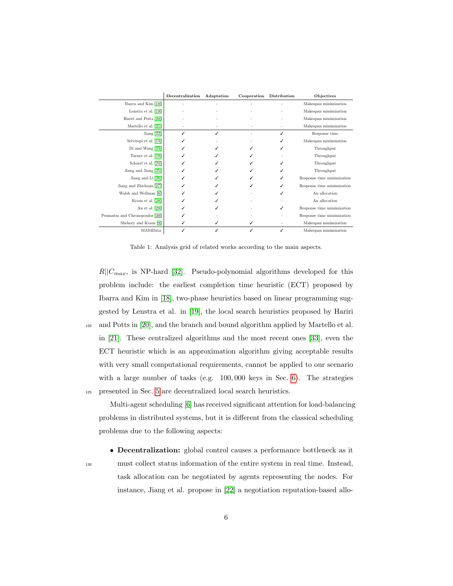<span id="page-5-0"></span>

|                                | Decentralization | Adaptation | Cooperation | Distribution | Objectives                 |
|--------------------------------|------------------|------------|-------------|--------------|----------------------------|
| Ibarra and Kim [18]            |                  |            |             |              | Makespan minimization      |
| Lenstra et al. [19]            |                  |            |             |              | Makespan minimization      |
| Hariri and Potts [20]          |                  |            |             |              | Makespan minimization      |
| Martello et al. [21]           |                  |            |             |              | Makespan minimization      |
| Jiang [22]                     |                  | ✓          |             |              | Response time              |
| Selvitopi et al. [13]          |                  |            |             |              | Makespan minimization      |
| Di and Wang [23]               |                  |            |             |              | Throughput                 |
| Turner et al. [10]             |                  |            |             |              | Throughput                 |
| Schaerf et al. [24]            |                  |            |             | ✓            | Throughput                 |
| Jiang and Jiang [25]           |                  |            |             |              | Throughput                 |
| Jiang and Li [26]              |                  |            |             | ✓            | Response time minimization |
| Jiang and Zhichuan [27]        |                  |            |             | ✓            | Response time minimization |
| Walsh and Wellman [8]          |                  |            |             | ✓            | An allocation              |
| Kraus et al. [28]              |                  |            |             |              | An allocation              |
| An et al. $[29]$               |                  |            |             | ✓            | Response time minimization |
| Penmatsa and Chronopoulos [30] |                  |            |             |              | Response time minimization |
| Shehory and Kraus [9]          |                  | ✓          | ✓           |              | Makespan minimization      |
| MAS4Data                       |                  |            |             | ✓            | Makespan minimization      |

Table 1: Analysis grid of related works according to the main aspects.

 $R||C_{max}$ , is NP-hard [\[32\]](#page-37-2). Pseudo-polynomial algorithms developed for this problem include: the earliest completion time heuristic (ECT) proposed by Ibarra and Kim in [\[18\]](#page-35-5), two-phase heuristics based on linear programming suggested by Lenstra et al. in [\[19\]](#page-35-6), the local search heuristics proposed by Hariri <sup>120</sup> and Potts in [\[20\]](#page-35-7), and the branch and bound algorithm applied by Martello et al. in [\[21\]](#page-35-8). These centralized algorithms and the most recent ones [\[33\]](#page-37-3), even the ECT heuristic which is an approximation algorithm giving acceptable results with very small computational requirements, cannot be applied to our scenario with a large number of tasks (e.g. 100,000 keys in Sec. [6\)](#page-19-0). The strategies <sup>125</sup> presented in Sec. [5](#page-16-0) are decentralized local search heuristics.

Multi-agent scheduling [\[6\]](#page-34-2) has received significant attention for load-balancing problems in distributed systems, but it is different from the classical scheduling problems due to the following aspects:

• Decentralization: global control causes a performance bottleneck as it <sup>130</sup> must collect status information of the entire system in real time. Instead, task allocation can be negotiated by agents representing the nodes. For instance, Jiang et al. propose in [\[22\]](#page-36-0) a negotiation reputation-based allo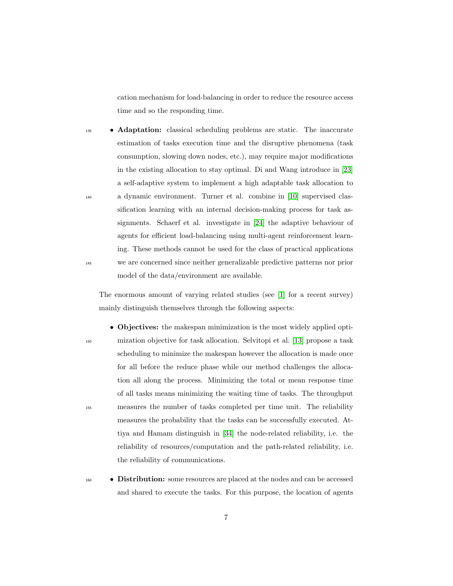cation mechanism for load-balancing in order to reduce the resource access time and so the responding time.

**• Adaptation:** classical scheduling problems are static. The inaccurate estimation of tasks execution time and the disruptive phenomena (task consumption, slowing down nodes, etc.), may require major modifications in the existing allocation to stay optimal. Di and Wang introduce in [\[23\]](#page-36-1) a self-adaptive system to implement a high adaptable task allocation to <sup>140</sup> a dynamic environment. Turner et al. combine in [\[10\]](#page-34-6) supervised classification learning with an internal decision-making process for task assignments. Schaerf et al. investigate in [\[24\]](#page-36-2) the adaptive behaviour of agents for efficient load-balancing using multi-agent reinforcement learning. These methods cannot be used for the class of practical applications <sup>145</sup> we are concerned since neither generalizable predictive patterns nor prior model of the data/environment are available.

The enormous amount of varying related studies (see [\[1\]](#page-33-0) for a recent survey) mainly distinguish themselves through the following aspects:

- Objectives: the makespan minimization is the most widely applied opti-<sup>150</sup> mization objective for task allocation. Selvitopi et al. [\[13\]](#page-35-0) propose a task scheduling to minimize the makespan however the allocation is made once for all before the reduce phase while our method challenges the allocation all along the process. Minimizing the total or mean response time of all tasks means minimizing the waiting time of tasks. The throughput <sup>155</sup> measures the number of tasks completed per time unit. The reliability measures the probability that the tasks can be successfully executed. Attiya and Hamam distinguish in [\[34\]](#page-37-4) the node-related reliability, i.e. the reliability of resources/computation and the path-related reliability, i.e. the reliability of communications.
- 

<sup>160</sup> • Distribution: some resources are placed at the nodes and can be accessed and shared to execute the tasks. For this purpose, the location of agents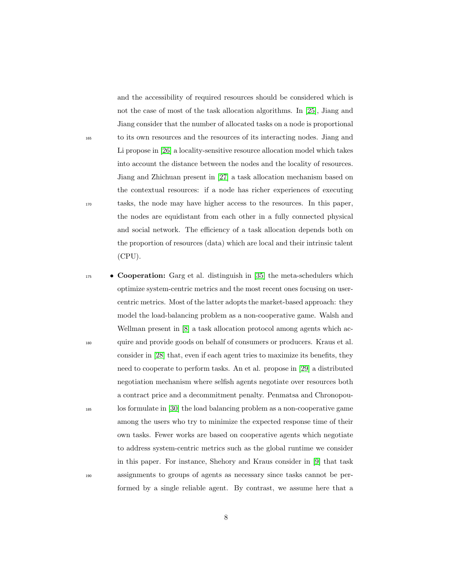and the accessibility of required resources should be considered which is not the case of most of the task allocation algorithms. In [\[25\]](#page-36-3), Jiang and Jiang consider that the number of allocated tasks on a node is proportional <sup>165</sup> to its own resources and the resources of its interacting nodes. Jiang and Li propose in [\[26\]](#page-36-4) a locality-sensitive resource allocation model which takes into account the distance between the nodes and the locality of resources. Jiang and Zhichuan present in [\[27\]](#page-36-5) a task allocation mechanism based on the contextual resources: if a node has richer experiences of executing <sup>170</sup> tasks, the node may have higher access to the resources. In this paper, the nodes are equidistant from each other in a fully connected physical and social network. The efficiency of a task allocation depends both on the proportion of resources (data) which are local and their intrinsic talent (CPU).

 $\bullet$  **Cooperation:** Garg et al. distinguish in [\[35\]](#page-37-5) the meta-schedulers which optimize system-centric metrics and the most recent ones focusing on usercentric metrics. Most of the latter adopts the market-based approach: they model the load-balancing problem as a non-cooperative game. Walsh and Wellman present in [\[8\]](#page-34-4) a task allocation protocol among agents which ac-<sup>180</sup> quire and provide goods on behalf of consumers or producers. Kraus et al. consider in [\[28\]](#page-36-6) that, even if each agent tries to maximize its benefits, they need to cooperate to perform tasks. An et al. propose in [\[29\]](#page-36-7) a distributed negotiation mechanism where selfish agents negotiate over resources both a contract price and a decommitment penalty. Penmatsa and Chronopou-<sup>185</sup> los formulate in [\[30\]](#page-37-1) the load balancing problem as a non-cooperative game among the users who try to minimize the expected response time of their own tasks. Fewer works are based on cooperative agents which negotiate to address system-centric metrics such as the global runtime we consider in this paper. For instance, Shehory and Kraus consider in [\[9\]](#page-34-5) that task <sup>190</sup> assignments to groups of agents as necessary since tasks cannot be performed by a single reliable agent. By contrast, we assume here that a

8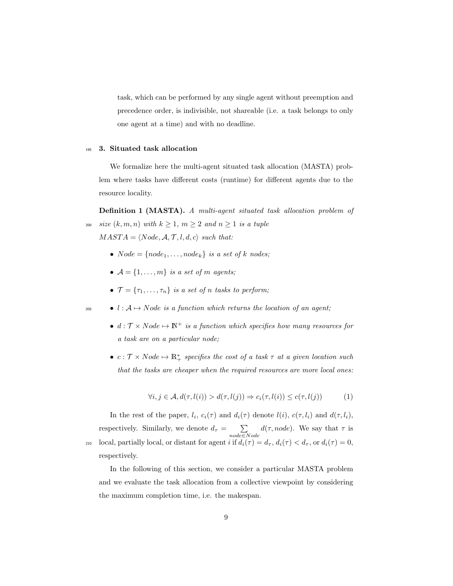task, which can be performed by any single agent without preemption and precedence order, is indivisible, not shareable (i.e. a task belongs to only one agent at a time) and with no deadline.

# <span id="page-8-0"></span><sup>195</sup> 3. Situated task allocation

We formalize here the multi-agent situated task allocation (MASTA) problem where tasks have different costs (runtime) for different agents due to the resource locality.

<span id="page-8-1"></span>Definition 1 (MASTA). A multi-agent situated task allocation problem of 200 size  $(k, m, n)$  with  $k \geq 1$ ,  $m \geq 2$  and  $n \geq 1$  is a tuple

 $MAST A = \langle Node, A, T, l, d, c \rangle$  such that:

- $Node = \{node_1, \ldots, node_k\}$  is a set of k nodes;
- $\mathcal{A} = \{1, \ldots, m\}$  is a set of m agents;
- $\mathcal{T} = {\tau_1, \ldots, \tau_n}$  is a set of n tasks to perform;
- $\bullet \quad l : A \mapsto Node \text{ is a function which returns the location of an agent};$ 
	- $d : \mathcal{T} \times Node \mapsto \mathbb{N}^+$  is a function which specifies how many resources for a task are on a particular node;
	- $c: \mathcal{T} \times Node \mapsto \mathbb{R}_+^*$  specifies the cost of a task  $\tau$  at a given location such that the tasks are cheaper when the required resources are more local ones:

<span id="page-8-2"></span>
$$
\forall i, j \in \mathcal{A}, d(\tau, l(i)) > d(\tau, l(j)) \Rightarrow c_i(\tau, l(i)) \le c(\tau, l(j)) \tag{1}
$$

In the rest of the paper,  $l_i$ ,  $c_i(\tau)$  and  $d_i(\tau)$  denote  $l(i)$ ,  $c(\tau, l_i)$  and  $d(\tau, l_i)$ , respectively. Similarly, we denote  $d_{\tau} = \sum$ node∈Node  $d(\tau, node)$ . We say that  $\tau$  is 210 local, partially local, or distant for agent i if  $d_i(\tau) = d_{\tau}$ ,  $d_i(\tau) < d_{\tau}$ , or  $d_i(\tau) = 0$ , respectively.

<span id="page-8-3"></span>In the following of this section, we consider a particular MASTA problem and we evaluate the task allocation from a collective viewpoint by considering the maximum completion time, i.e. the makespan.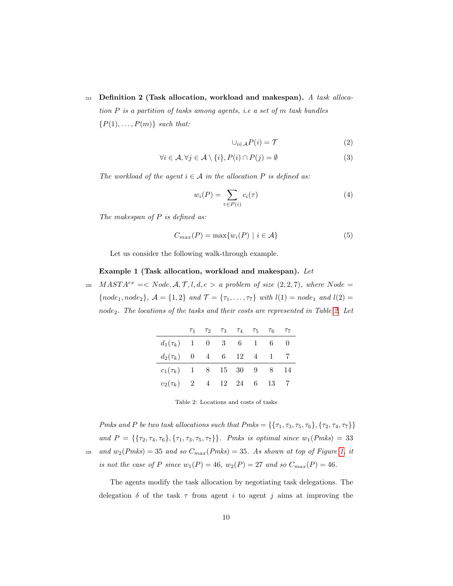# 215 Definition 2 (Task allocation, workload and makespan). A task alloca-

tion P is a partition of tasks among agents, i.e a set of m task bundles  $\{P(1), \ldots, P(m)\}\$  such that:

$$
\cup_{i \in \mathcal{A}} P(i) = \mathcal{T} \tag{2}
$$

$$
\forall i \in \mathcal{A}, \forall j \in \mathcal{A} \setminus \{i\}, P(i) \cap P(j) = \emptyset
$$
\n
$$
(3)
$$

The workload of the agent  $i \in A$  in the allocation P is defined as:

<span id="page-9-1"></span>
$$
w_i(P) = \sum_{\tau \in P(i)} c_i(\tau) \tag{4}
$$

The makespan of P is defined as:

$$
C_{max}(P) = \max\{w_i(P) \mid i \in \mathcal{A}\}\tag{5}
$$

Let us consider the following walk-through example.

### Example 1 (Task allocation, workload and makespan). Let

<span id="page-9-0"></span>220  $MAST A^{ex} =  a$  problem of size  $(2, 2, 7)$ , where Node =  ${node_1, node_2}, \ A = \{1, 2\} \ and \ \mathcal{T} = \{\tau_1, \ldots, \tau_7\} \ with \ l(1) = node_1 \ and \ l(2) = \emptyset$ node<sub>2</sub>. The locations of the tasks and their costs are represented in Table [2.](#page-9-0) Let

|                                |  | $\tau_1$ $\tau_2$ $\tau_3$ $\tau_4$ $\tau_5$ $\tau_6$ |  | $T_{7}$ |
|--------------------------------|--|-------------------------------------------------------|--|---------|
| $d_1(\tau_k)$ 1 0 3 6 1 6 0    |  |                                                       |  |         |
| $d_2(\tau_k)$ 0 4 6 12 4 1 7   |  |                                                       |  |         |
| $c_1(\tau_k)$ 1 8 15 30 9 8 14 |  |                                                       |  |         |
| $c_2(\tau_k)$ 2 4 12 24 6 13   |  |                                                       |  |         |

Table 2: Locations and costs of tasks

Pmks and P be two task allocations such that  $Pmks = \{\{\tau_1, \tau_3, \tau_5, \tau_6\}, \{\tau_2, \tau_4, \tau_7\}\}\$ and  $P = \{\{\tau_2, \tau_4, \tau_6\}, \{\tau_1, \tau_3, \tau_5, \tau_7\}\}\.$  Pmks is optimal since  $w_1(Pmks) = 33$ <sup>225</sup> and  $w_2(Pmks) = 35$  and so  $C_{max}(Pmks) = 35$ . As shown at top of Figure [1,](#page-11-0) it is not the case of P since  $w_1(P) = 46$ ,  $w_2(P) = 27$  and so  $C_{max}(P) = 46$ .

The agents modify the task allocation by negotiating task delegations. The delegation  $\delta$  of the task  $\tau$  from agent i to agent j aims at improving the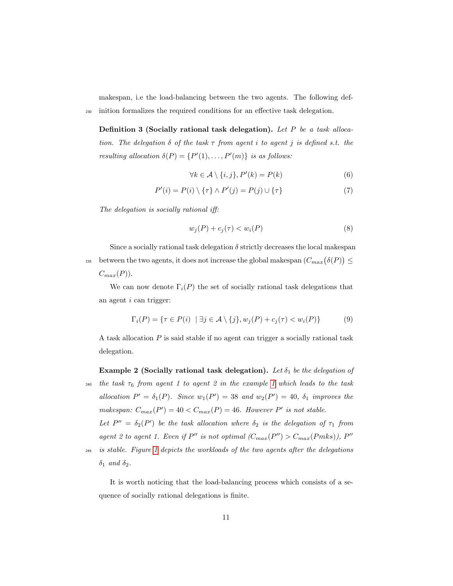makespan, i.e the load-balancing between the two agents. The following def-<sup>230</sup> inition formalizes the required conditions for an effective task delegation.

Definition 3 (Socially rational task delegation). Let P be a task allocation. The delegation  $\delta$  of the task  $\tau$  from agent i to agent j is defined s.t. the resulting allocation  $\delta(P) = \{P'(1), \ldots, P'(m)\}\$ is as follows:

$$
\forall k \in \mathcal{A} \setminus \{i, j\}, P'(k) = P(k)
$$
\n(6)

$$
P'(i) = P(i) \setminus \{\tau\} \wedge P'(j) = P(j) \cup \{\tau\}
$$
\n(7)

The delegation is socially rational iff:

$$
w_j(P) + c_j(\tau) < w_i(P) \tag{8}
$$

Since a socially rational task delegation  $\delta$  strictly decreases the local makespan between the two agents, it does not increase the global makespan  $(C_{max}(\delta(P)) \leq$  $C_{max}(P)$ .

We can now denote  $\Gamma_i(P)$  the set of socially rational task delegations that an agent i can trigger:

$$
\Gamma_i(P) = \{ \tau \in P(i) \mid \exists j \in \mathcal{A} \setminus \{j\}, w_j(P) + c_j(\tau) < w_i(P) \} \tag{9}
$$

A task allocation P is said stable if no agent can trigger a socially rational task delegation.

Example 2 (Socially rational task delegation). Let  $\delta_1$  be the delegation of

240 the task  $\tau_6$  from agent [1](#page-9-1) to agent 2 in the example 1 which leads to the task allocation  $P' = \delta_1(P)$ . Since  $w_1(P') = 38$  and  $w_2(P') = 40$ ,  $\delta_1$  improves the makespan:  $C_{max}(P') = 40 < C_{max}(P) = 46$ . However P' is not stable.

Let  $P'' = \delta_2(P')$  be the task allocation where  $\delta_2$  is the delegation of  $\tau_1$  from agent 2 to agent 1. Even if  $P''$  is not optimal  $(C_{max}(P'') > C_{max}(Pmks)), P''$ 

<sup>245</sup> is stable. Figure [1](#page-11-0) depicts the workloads of the two agents after the delegations  $\delta_1$  and  $\delta_2$ .

It is worth noticing that the load-balancing process which consists of a sequence of socially rational delegations is finite.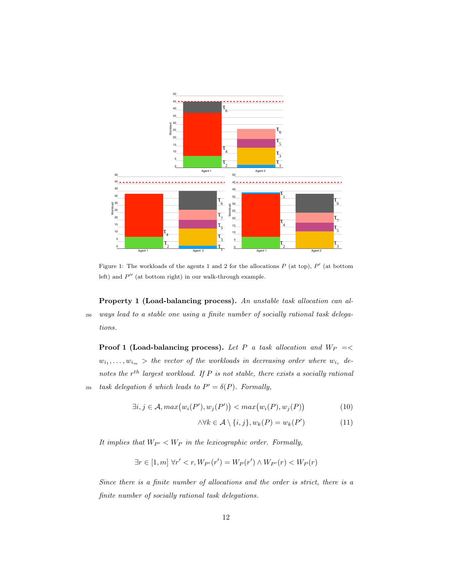<span id="page-11-0"></span>

Figure 1: The workloads of the agents 1 and 2 for the allocations  $P$  (at top),  $P'$  (at bottom left) and  $P''$  (at bottom right) in our walk-through example.

Property 1 (Load-balancing process). An unstable task allocation can al-<sup>250</sup> ways lead to a stable one using a finite number of socially rational task delegations.

**Proof 1 (Load-balancing process).** Let P a task allocation and  $W_P$  =<  $w_{i_1}, \ldots, w_{i_m}$  > the vector of the workloads in decreasing order where  $w_{i_r}$  denotes the  $r^{th}$  largest workload. If P is not stable, there exists a socially rational 255 task delegation  $\delta$  which leads to  $P' = \delta(P)$ . Formally,

$$
\exists i, j \in \mathcal{A}, \max(w_i(P'), w_j(P')) < \max(w_i(P), w_j(P))
$$
\n(10)

$$
\land \forall k \in \mathcal{A} \setminus \{i, j\}, w_k(P) = w_k(P') \tag{11}
$$

It implies that  $W_{P'} < W_P$  in the lexicographic order. Formally,

$$
\exists r \in [1, m] \forall r' < r, W_{P'}(r') = W_P(r') \land W_{P'}(r) < W_P(r)
$$

Since there is a finite number of allocations and the order is strict, there is a finite number of socially rational task delegations.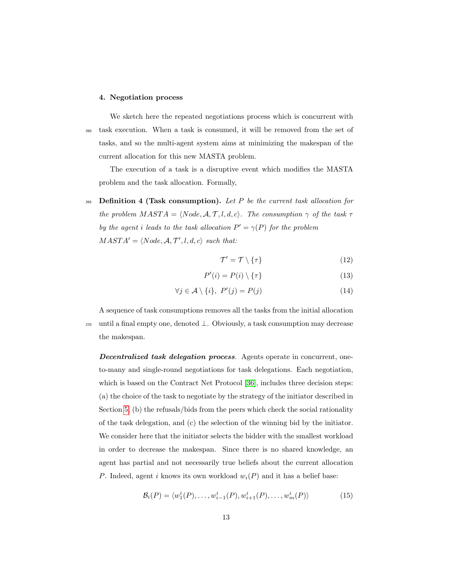#### <span id="page-12-0"></span>4. Negotiation process

We sketch here the repeated negotiations process which is concurrent with <sup>260</sup> task execution. When a task is consumed, it will be removed from the set of tasks, and so the multi-agent system aims at minimizing the makespan of the current allocation for this new MASTA problem.

The execution of a task is a disruptive event which modifies the MASTA problem and the task allocation. Formally,

265 Definition 4 (Task consumption). Let P be the current task allocation for the problem  $MASTA = \langle Node, A, T, l, d, c \rangle$ . The consumption  $\gamma$  of the task  $\tau$ by the agent i leads to the task allocation  $P' = \gamma(P)$  for the problem  $MAST A' = \langle Node, A, T', l, d, c \rangle$  such that:

$$
\mathcal{T}' = \mathcal{T} \setminus \{\tau\} \tag{12}
$$

$$
P'(i) = P(i) \setminus \{\tau\} \tag{13}
$$

$$
\forall j \in \mathcal{A} \setminus \{i\}, \ P'(j) = P(j) \tag{14}
$$

A sequence of task consumptions removes all the tasks from the initial allocation <sup>270</sup> until a final empty one, denoted ⊥. Obviously, a task consumption may decrease the makespan.

**Decentralized task delegation process.** Agents operate in concurrent, oneto-many and single-round negotiations for task delegations. Each negotiation, which is based on the Contract Net Protocol [\[36\]](#page-37-6), includes three decision steps: (a) the choice of the task to negotiate by the strategy of the initiator described in Section [5,](#page-16-0) (b) the refusals/bids from the peers which check the social rationality of the task delegation, and (c) the selection of the winning bid by the initiator. We consider here that the initiator selects the bidder with the smallest workload in order to decrease the makespan. Since there is no shared knowledge, an agent has partial and not necessarily true beliefs about the current allocation P. Indeed, agent i knows its own workload  $w_i(P)$  and it has a belief base:

$$
\mathcal{B}_{i}(P) = \langle w_{1}^{i}(P), \dots, w_{i-1}^{i}(P), w_{i+1}^{i}(P), \dots, w_{m}^{i}(P) \rangle
$$
\n(15)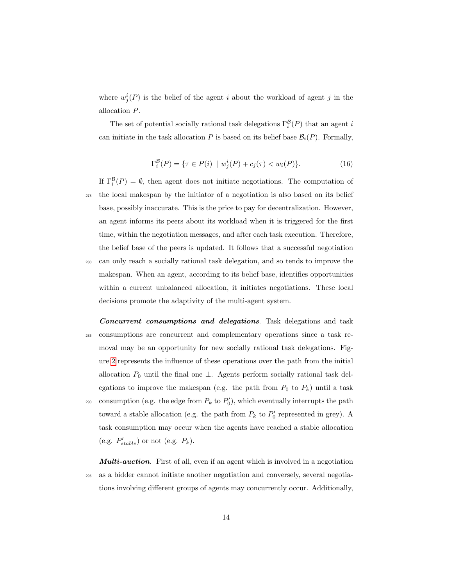where  $w_j^i(P)$  is the belief of the agent i about the workload of agent j in the allocation P.

The set of potential socially rational task delegations  $\Gamma_i^{\mathcal{B}}(P)$  that an agent *i* can initiate in the task allocation P is based on its belief base  $\mathcal{B}_i(P)$ . Formally,

$$
\Gamma_i^{\mathcal{B}}(P) = \{ \tau \in P(i) \mid w_j^i(P) + c_j(\tau) < w_i(P) \}. \tag{16}
$$

If  $\Gamma_i^{\mathcal{B}}(P) = \emptyset$ , then agent does not initiate negotiations. The computation of <sup>275</sup> the local makespan by the initiator of a negotiation is also based on its belief base, possibly inaccurate. This is the price to pay for decentralization. However, an agent informs its peers about its workload when it is triggered for the first time, within the negotiation messages, and after each task execution. Therefore, the belief base of the peers is updated. It follows that a successful negotiation <sup>280</sup> can only reach a socially rational task delegation, and so tends to improve the

- makespan. When an agent, according to its belief base, identifies opportunities within a current unbalanced allocation, it initiates negotiations. These local decisions promote the adaptivity of the multi-agent system.
- Concurrent consumptions and delegations. Task delegations and task <sup>285</sup> consumptions are concurrent and complementary operations since a task removal may be an opportunity for new socially rational task delegations. Figure [2](#page-14-0) represents the influence of these operations over the path from the initial allocation  $P_0$  until the final one  $\perp$ . Agents perform socially rational task delegations to improve the makespan (e.g. the path from  $P_0$  to  $P_k$ ) until a task <sup>290</sup> consumption (e.g. the edge from  $P_k$  to  $P'_0$ ), which eventually interrupts the path toward a stable allocation (e.g. the path from  $P_k$  to  $P'_0$  represented in grey). A task consumption may occur when the agents have reached a stable allocation (e.g.  $P'_{stable}$ ) or not (e.g.  $P_k$ ).

**Multi-auction.** First of all, even if an agent which is involved in a negotiation <sup>295</sup> as a bidder cannot initiate another negotiation and conversely, several negotiations involving different groups of agents may concurrently occur. Additionally,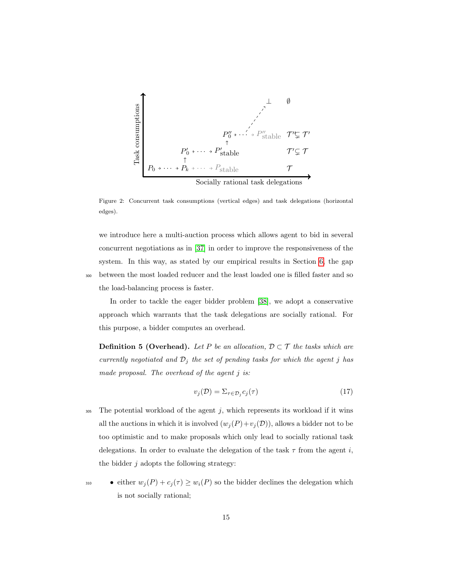<span id="page-14-0"></span>

Figure 2: Concurrent task consumptions (vertical edges) and task delegations (horizontal edges).

we introduce here a multi-auction process which allows agent to bid in several concurrent negotiations as in [\[37\]](#page-37-7) in order to improve the responsiveness of the system. In this way, as stated by our empirical results in Section [6,](#page-19-0) the gap <sup>300</sup> between the most loaded reducer and the least loaded one is filled faster and so the load-balancing process is faster.

In order to tackle the eager bidder problem [\[38\]](#page-37-8), we adopt a conservative approach which warrants that the task delegations are socially rational. For this purpose, a bidder computes an overhead.

**Definition 5 (Overhead).** Let P be an allocation,  $D \subset T$  the tasks which are currently negotiated and  $\mathcal{D}_j$  the set of pending tasks for which the agent j has made proposal. The overhead of the agent  $j$  is:

$$
v_j(\mathcal{D}) = \sum_{\tau \in \mathcal{D}_j} c_j(\tau) \tag{17}
$$

- $305$  The potential workload of the agent j, which represents its workload if it wins all the auctions in which it is involved  $(w_j(P)+v_j(D))$ , allows a bidder not to be too optimistic and to make proposals which only lead to socially rational task delegations. In order to evaluate the delegation of the task  $\tau$  from the agent i, the bidder  $j$  adopts the following strategy:
- 310 either  $w_j(P) + c_j(\tau) \ge w_i(P)$  so the bidder declines the delegation which is not socially rational;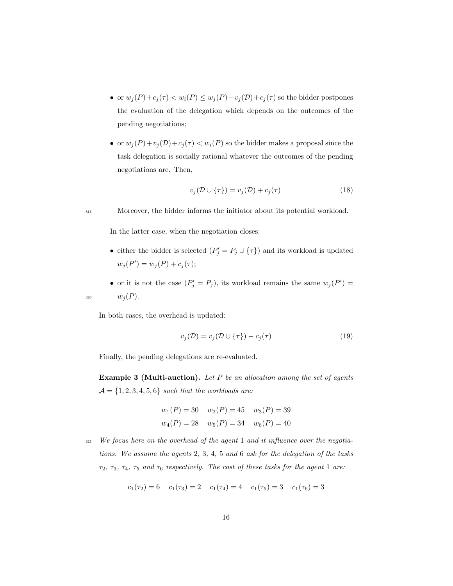- or  $w_j(P) + c_j(\tau) < w_i(P) \le w_j(P) + v_j(\mathcal{D}) + c_j(\tau)$  so the bidder postpones the evaluation of the delegation which depends on the outcomes of the pending negotiations;
- or  $w_j(P) + v_j(\mathcal{D}) + c_j(\tau) < w_i(P)$  so the bidder makes a proposal since the task delegation is socially rational whatever the outcomes of the pending negotiations are. Then,

$$
v_j(\mathcal{D} \cup \{\tau\}) = v_j(\mathcal{D}) + c_j(\tau) \tag{18}
$$

<sup>315</sup> Moreover, the bidder informs the initiator about its potential workload.

In the latter case, when the negotiation closes:

- either the bidder is selected  $(P'_j = P_j \cup {\tau})$  and its workload is updated  $w_j(P') = w_j(P) + c_j(\tau);$
- or it is not the case  $(P'_j = P_j)$ , its workload remains the same  $w_j(P') =$ 320  $w_j(P)$ .

In both cases, the overhead is updated:

$$
v_j(\mathcal{D}) = v_j(\mathcal{D} \cup \{\tau\}) - c_j(\tau) \tag{19}
$$

<span id="page-15-0"></span>Finally, the pending delegations are re-evaluated.

**Example 3 (Multi-auction).** Let  $P$  be an allocation among the set of agents  $\mathcal{A} = \{1, 2, 3, 4, 5, 6\}$  such that the workloads are:

$$
w_1(P) = 30
$$
  $w_2(P) = 45$   $w_3(P) = 39$   
\n $w_4(P) = 28$   $w_5(P) = 34$   $w_6(P) = 40$ 

 $325$  We focus here on the overhead of the agent 1 and it influence over the negotiations. We assume the agents 2, 3, 4, 5 and 6 ask for the delegation of the tasks  $\tau_2$ ,  $\tau_3$ ,  $\tau_4$ ,  $\tau_5$  and  $\tau_6$  respectively. The cost of these tasks for the agent 1 are:

$$
c_1(\tau_2) = 6 \quad c_1(\tau_3) = 2 \quad c_1(\tau_4) = 4 \quad c_1(\tau_5) = 3 \quad c_1(\tau_6) = 3
$$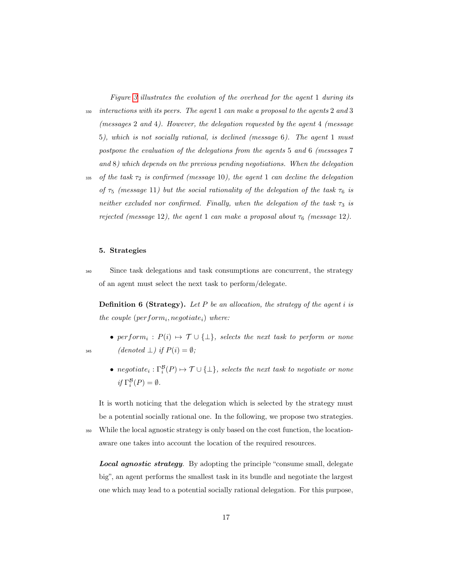Figure [3](#page-17-0) illustrates the evolution of the overhead for the agent 1 during its  $\frac{330}{100}$  interactions with its peers. The agent 1 can make a proposal to the agents 2 and 3 (messages 2 and 4). However, the delegation requested by the agent 4 (message 5), which is not socially rational, is declined (message 6). The agent 1 must postpone the evaluation of the delegations from the agents 5 and 6 (messages 7

and 8) which depends on the previous pending negotiations. When the delegation

335 of the task  $\tau_2$  is confirmed (message 10), the agent 1 can decline the delegation of  $\tau_5$  (message 11) but the social rationality of the delegation of the task  $\tau_6$  is neither excluded nor confirmed. Finally, when the delegation of the task  $\tau_3$  is rejected (message 12), the agent 1 can make a proposal about  $\tau_6$  (message 12).

# <span id="page-16-0"></span>5. Strategies

 $\sin$  Since task delegations and task consumptions are concurrent, the strategy of an agent must select the next task to perform/delegate.

**Definition 6 (Strategy).** Let P be an allocation, the strategy of the agent i is the couple  $(perform<sub>i</sub>,negotide<sub>i</sub>)$  where:

- perform<sub>i</sub>:  $P(i) \mapsto \mathcal{T} \cup {\{\perp\}}$ , selects the next task to perform or none 345 (denoted  $\perp$ ) if  $P(i) = \emptyset$ ;
	- negotiat $e_i: \Gamma_i^{\mathcal{B}}(P) \mapsto \mathcal{T} \cup \{\bot\}$ , selects the next task to negotiate or none if  $\Gamma_i^{\mathcal{B}}(P) = \emptyset$ .

It is worth noticing that the delegation which is selected by the strategy must be a potential socially rational one. In the following, we propose two strategies. <sup>350</sup> While the local agnostic strategy is only based on the cost function, the location-

aware one takes into account the location of the required resources.

Local agnostic strategy. By adopting the principle "consume small, delegate big", an agent performs the smallest task in its bundle and negotiate the largest one which may lead to a potential socially rational delegation. For this purpose,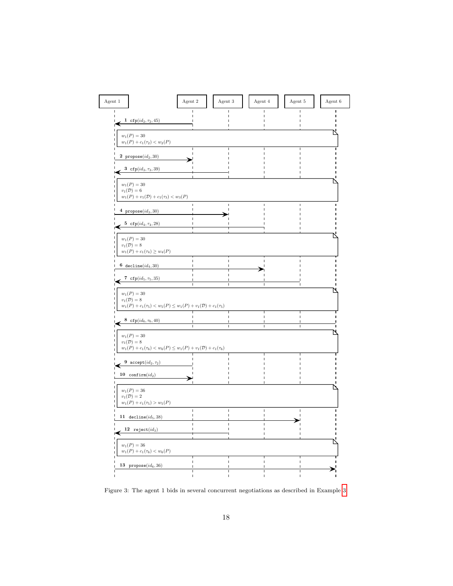<span id="page-17-0"></span>

| Agent 1                                                                                                | Agent 2                                                                                     | Agent $3\,$ | Agent 4 | Agent 5 | Agent 6 |
|--------------------------------------------------------------------------------------------------------|---------------------------------------------------------------------------------------------|-------------|---------|---------|---------|
| 1 $\text{cfp}(id_2, \tau_2, 45)$<br>$w_1(P) = 30$<br>$w_1(P) + c_1(\tau_2) < w_2(P)$                   |                                                                                             |             |         |         |         |
| 2 $propose(id_2, 30)$<br>3 cfp $(id_3, \tau_3, 39)$                                                    |                                                                                             |             |         |         |         |
| $w_1(P) = 30$<br>$v_1(\mathcal{D})=6$<br>4 $propose(id_3, 30)$                                         | $w_1(P) + v_1(\mathcal{D}) + c_1(\tau_3) < w_3(P)$                                          |             |         |         |         |
| 5 cfp $(id_4, \tau_4, 28)$<br>$w_1(P) = 30$<br>$v_1(\mathcal{D})=8$<br>$w_1(P)+c_1(\tau_4)\geq w_4(P)$ |                                                                                             |             |         |         |         |
| 6 $decline(id_4, 30)$<br>7 $\texttt{cfp}(id_5, \tau_5, 35)$<br>$w_1(P) = 30$                           |                                                                                             |             |         |         |         |
| $v_1(\mathcal{D})=8$<br>8 $\texttt{cfp}(\textit{id}_6, \tau_6, 40)$                                    | $w_1(P) + c_1(\tau_5) < w_5(P) \le w_1(P) + v_1(\mathcal{D}) + c_1(\tau_5)$<br>$\mathbf{I}$ | п           |         |         |         |
| $w_1(P) = 30$<br>$v_1(\mathcal{D})=8$<br>9 $\frac{\text{accept}(id_2, \tau_2)}{2}$                     | $w_1(P) + c_1(\tau_6) < w_6(P) \le w_1(P) + v_1(\mathcal{D}) + c_1(\tau_6)$                 |             |         |         |         |
| 10 confirm $(id_2)$<br>$w_1(P) = 36$<br>$v_1(\mathcal{D})=2$<br>$w_1(P) + c_1(\tau_5) > w_5(P)$        |                                                                                             |             |         |         |         |
| 11 $decline(id_5, 38)$<br>12 $reject(id_3)$                                                            |                                                                                             |             |         |         |         |
| $w_1(P) = 36$<br>$w_1(P) + c_1(\tau_6) < w_6(P)$<br>13 $propose(id_6, 36)$                             |                                                                                             |             |         |         |         |

Figure 3: The agent 1 bids in several concurrent negotiations as described in Example [3.](#page-15-0)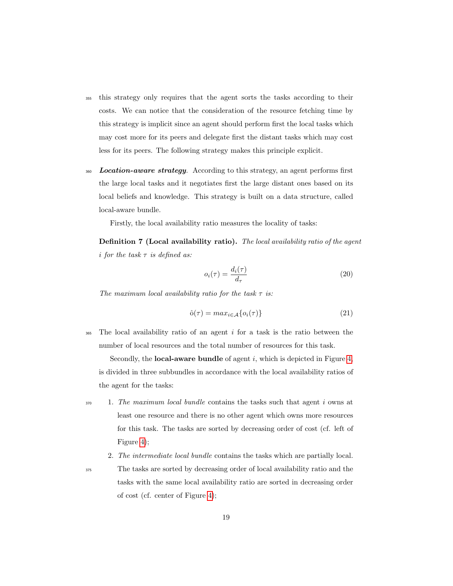- <sup>355</sup> this strategy only requires that the agent sorts the tasks according to their costs. We can notice that the consideration of the resource fetching time by this strategy is implicit since an agent should perform first the local tasks which may cost more for its peers and delegate first the distant tasks which may cost less for its peers. The following strategy makes this principle explicit.
- 360 Location-aware strategy. According to this strategy, an agent performs first the large local tasks and it negotiates first the large distant ones based on its local beliefs and knowledge. This strategy is built on a data structure, called local-aware bundle.

Firstly, the local availability ratio measures the locality of tasks:

Definition 7 (Local availability ratio). The local availability ratio of the agent i for the task  $\tau$  is defined as:

$$
o_i(\tau) = \frac{d_i(\tau)}{d_\tau} \tag{20}
$$

The maximum local availability ratio for the task  $\tau$  is:

$$
\hat{\mathbf{o}}(\tau) = \max_{i \in \mathcal{A}} \{ o_i(\tau) \} \tag{21}
$$

 $365$  The local availability ratio of an agent i for a task is the ratio between the number of local resources and the total number of resources for this task.

Secondly, the **local-aware bundle** of agent  $i$ , which is depicted in Figure [4,](#page-19-1) is divided in three subbundles in accordance with the local availability ratios of the agent for the tasks:

- $\frac{370}{1}$  1. The maximum local bundle contains the tasks such that agent i owns at least one resource and there is no other agent which owns more resources for this task. The tasks are sorted by decreasing order of cost (cf. left of Figure [4\)](#page-19-1);
	- 2. The intermediate local bundle contains the tasks which are partially local.

<sup>375</sup> The tasks are sorted by decreasing order of local availability ratio and the tasks with the same local availability ratio are sorted in decreasing order of cost (cf. center of Figure [4\)](#page-19-1);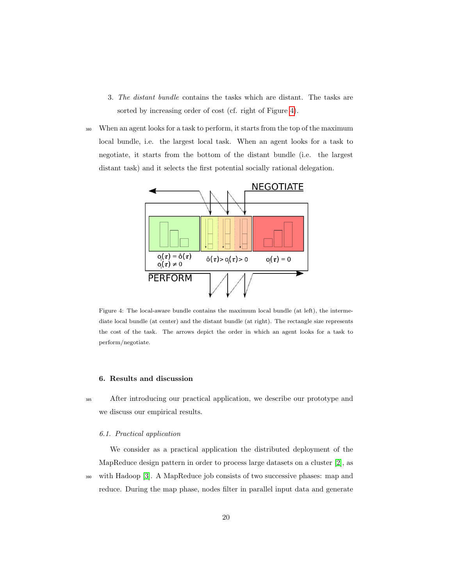- 3. The distant bundle contains the tasks which are distant. The tasks are sorted by increasing order of cost (cf. right of Figure [4\)](#page-19-1).
- <sup>380</sup> When an agent looks for a task to perform, it starts from the top of the maximum local bundle, i.e. the largest local task. When an agent looks for a task to negotiate, it starts from the bottom of the distant bundle (i.e. the largest distant task) and it selects the first potential socially rational delegation.

<span id="page-19-1"></span>

Figure 4: The local-aware bundle contains the maximum local bundle (at left), the intermediate local bundle (at center) and the distant bundle (at right). The rectangle size represents the cost of the task. The arrows depict the order in which an agent looks for a task to perform/negotiate.

# <span id="page-19-0"></span>6. Results and discussion

<sup>385</sup> After introducing our practical application, we describe our prototype and we discuss our empirical results.

#### 6.1. Practical application

We consider as a practical application the distributed deployment of the MapReduce design pattern in order to process large datasets on a cluster [\[2\]](#page-33-1), as <sup>390</sup> with Hadoop [\[3\]](#page-33-2). A MapReduce job consists of two successive phases: map and reduce. During the map phase, nodes filter in parallel input data and generate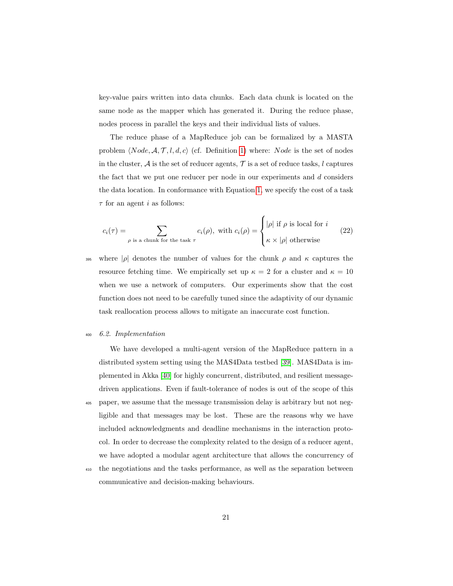key-value pairs written into data chunks. Each data chunk is located on the same node as the mapper which has generated it. During the reduce phase, nodes process in parallel the keys and their individual lists of values.

The reduce phase of a MapReduce job can be formalized by a MASTA problem  $\langle Node, \mathcal{A}, \mathcal{T}, l, d, c \rangle$  (cf. Definition [1\)](#page-8-1) where: Node is the set of nodes in the cluster,  $A$  is the set of reducer agents,  $T$  is a set of reduce tasks, l captures the fact that we put one reducer per node in our experiments and  $d$  considers the data location. In conformance with Equation [1,](#page-8-2) we specify the cost of a task  $\tau$  for an agent *i* as follows:

$$
c_i(\tau) = \sum_{\rho \text{ is a chunk for the task } \tau} c_i(\rho), \text{ with } c_i(\rho) = \begin{cases} |\rho| \text{ if } \rho \text{ is local for } i \\ \kappa \times |\rho| \text{ otherwise} \end{cases}
$$
(22)

395 where  $|\rho|$  denotes the number of values for the chunk  $\rho$  and  $\kappa$  captures the resource fetching time. We empirically set up  $\kappa = 2$  for a cluster and  $\kappa = 10$ when we use a network of computers. Our experiments show that the cost function does not need to be carefully tuned since the adaptivity of our dynamic task reallocation process allows to mitigate an inaccurate cost function.

# <sup>400</sup> 6.2. Implementation

We have developed a multi-agent version of the MapReduce pattern in a distributed system setting using the MAS4Data testbed [\[39\]](#page-38-0). MAS4Data is implemented in Akka [\[40\]](#page-38-1) for highly concurrent, distributed, and resilient messagedriven applications. Even if fault-tolerance of nodes is out of the scope of this <sup>405</sup> paper, we assume that the message transmission delay is arbitrary but not negligible and that messages may be lost. These are the reasons why we have included acknowledgments and deadline mechanisms in the interaction protocol. In order to decrease the complexity related to the design of a reducer agent, we have adopted a modular agent architecture that allows the concurrency of

<sup>410</sup> the negotiations and the tasks performance, as well as the separation between communicative and decision-making behaviours.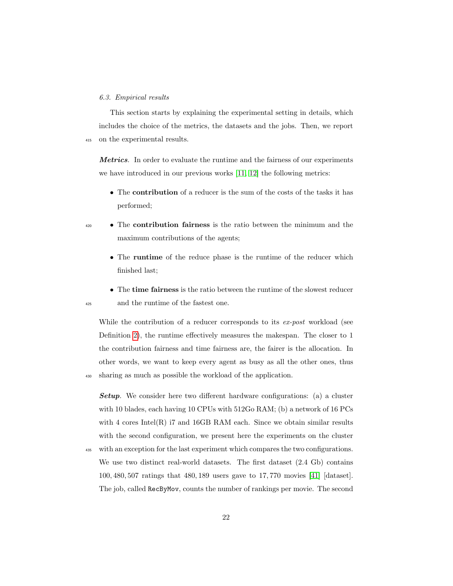#### 6.3. Empirical results

This section starts by explaining the experimental setting in details, which includes the choice of the metrics, the datasets and the jobs. Then, we report <sup>415</sup> on the experimental results.

Metrics. In order to evaluate the runtime and the fairness of our experiments we have introduced in our previous works [\[11,](#page-34-7) [12\]](#page-34-8) the following metrics:

- The contribution of a reducer is the sum of the costs of the tasks it has performed;
- <sup>420</sup> The **contribution fairness** is the ratio between the minimum and the maximum contributions of the agents;
	- The **runtime** of the reduce phase is the runtime of the reducer which finished last;
- The time fairness is the ratio between the runtime of the slowest reducer <sup>425</sup> and the runtime of the fastest one.

While the contribution of a reducer corresponds to its ex-post workload (see Definition [2\)](#page-8-3), the runtime effectively measures the makespan. The closer to 1 the contribution fairness and time fairness are, the fairer is the allocation. In other words, we want to keep every agent as busy as all the other ones, thus <sup>430</sup> sharing as much as possible the workload of the application.

**Setup.** We consider here two different hardware configurations: (a) a cluster with 10 blades, each having 10 CPUs with 512Go RAM; (b) a network of 16 PCs with 4 cores Intel $(R)$  i7 and 16GB RAM each. Since we obtain similar results with the second configuration, we present here the experiments on the cluster

<sup>435</sup> with an exception for the last experiment which compares the two configurations. We use two distinct real-world datasets. The first dataset  $(2.4 \text{ Gb})$  contains 100, 480, 507 ratings that 480, 189 users gave to 17, 770 movies [\[41\]](#page-38-2) [dataset]. The job, called RecByMov, counts the number of rankings per movie. The second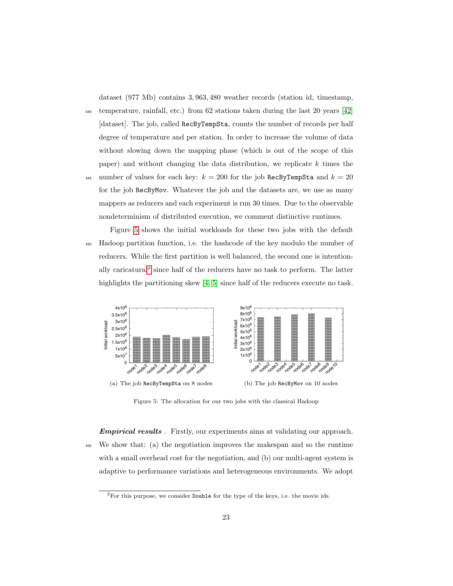dataset (977 Mb) contains 3, 963, 480 weather records (station id, timestamp,

<sup>440</sup> temperature, rainfall, etc.) from 62 stations taken during the last 20 years [\[42\]](#page-38-3) [dataset]. The job, called RecByTempSta, counts the number of records per half degree of temperature and per station. In order to increase the volume of data without slowing down the mapping phase (which is out of the scope of this paper) and without changing the data distribution, we replicate  $k$  times the

445 number of values for each key:  $k = 200$  for the job RecByTempSta and  $k = 20$ for the job RecByMov. Whatever the job and the datasets are, we use as many mappers as reducers and each experiment is run 30 times. Due to the observable nondeterminism of distributed execution, we comment distinctive runtimes.

Figure [5](#page-22-0) shows the initial workloads for these two jobs with the default <sup>450</sup> Hadoop partition function, i.e. the hashcode of the key modulo the number of reducers. While the first partition is well balanced, the second one is intention-ally caricatural<sup>[2](#page-22-1)</sup> since half of the reducers have no task to perform. The latter highlights the partitioning skew [\[4,](#page-34-0) [5\]](#page-34-1) since half of the reducers execute no task.

<span id="page-22-3"></span><span id="page-22-0"></span>

<span id="page-22-2"></span>Figure 5: The allocation for our two jobs with the classical Hadoop

**Empirical results**. Firstly, our experiments aims at validating our approach. <sup>455</sup> We show that: (a) the negotiation improves the makespan and so the runtime with a small overhead cost for the negotiation, and (b) our multi-agent system is adaptive to performance variations and heterogeneous environments. We adopt

<span id="page-22-1"></span><sup>2</sup>For this purpose, we consider Double for the type of the keys, i.e. the movie ids.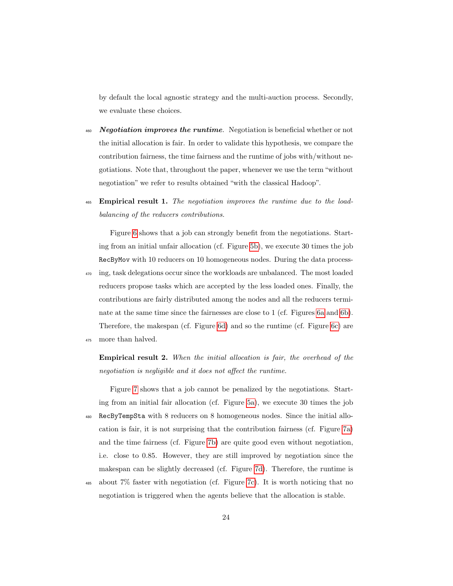by default the local agnostic strategy and the multi-auction process. Secondly, we evaluate these choices.

- $460$  Negotiation improves the runtime. Negotiation is beneficial whether or not the initial allocation is fair. In order to validate this hypothesis, we compare the contribution fairness, the time fairness and the runtime of jobs with/without negotiations. Note that, throughout the paper, whenever we use the term "without negotiation" we refer to results obtained "with the classical Hadoop".
- <sup>465</sup> Empirical result 1. The negotiation improves the runtime due to the loadbalancing of the reducers contributions.

Figure [6](#page-24-0) shows that a job can strongly benefit from the negotiations. Starting from an initial unfair allocation (cf. Figure [5b\)](#page-22-2), we execute 30 times the job RecByMov with 10 reducers on 10 homogeneous nodes. During the data process-<sup>470</sup> ing, task delegations occur since the workloads are unbalanced. The most loaded reducers propose tasks which are accepted by the less loaded ones. Finally, the contributions are fairly distributed among the nodes and all the reducers terminate at the same time since the fairnesses are close to 1 (cf. Figures [6a](#page-24-1) and [6b\)](#page-24-2). Therefore, the makespan (cf. Figure [6d\)](#page-24-3) and so the runtime (cf. Figure [6c\)](#page-24-4) are

<sup>475</sup> more than halved.

Empirical result 2. When the initial allocation is fair, the overhead of the negotiation is negligible and it does not affect the runtime.

Figure [7](#page-25-0) shows that a job cannot be penalized by the negotiations. Starting from an initial fair allocation (cf. Figure [5a\)](#page-22-3), we execute 30 times the job <sup>480</sup> RecByTempSta with 8 reducers on 8 homogeneous nodes. Since the initial allocation is fair, it is not surprising that the contribution fairness (cf. Figure [7a\)](#page-25-1) and the time fairness (cf. Figure [7b\)](#page-25-2) are quite good even without negotiation, i.e. close to 0.85. However, they are still improved by negotiation since the makespan can be slightly decreased (cf. Figure [7d\)](#page-25-3). Therefore, the runtime is

<sup>485</sup> about 7% faster with negotiation (cf. Figure [7c\)](#page-25-4). It is worth noticing that no negotiation is triggered when the agents believe that the allocation is stable.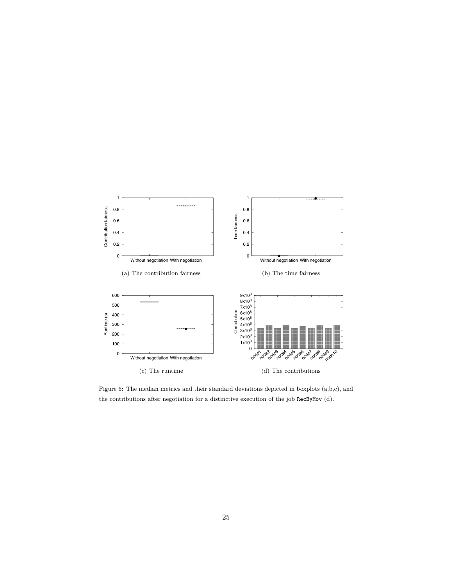<span id="page-24-4"></span><span id="page-24-2"></span><span id="page-24-1"></span><span id="page-24-0"></span>

<span id="page-24-3"></span>Figure 6: The median metrics and their standard deviations depicted in boxplots (a,b,c), and the contributions after negotiation for a distinctive execution of the job RecByMov (d).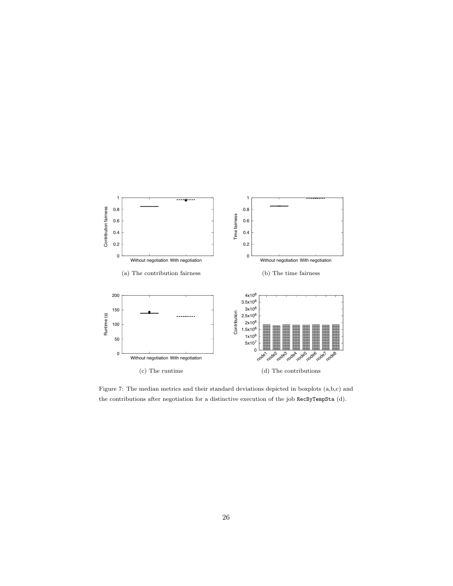<span id="page-25-4"></span><span id="page-25-2"></span><span id="page-25-1"></span><span id="page-25-0"></span>

<span id="page-25-3"></span>Figure 7: The median metrics and their standard deviations depicted in boxplots (a,b,c) and the contributions after negotiation for a distinctive execution of the job RecByTempSta (d).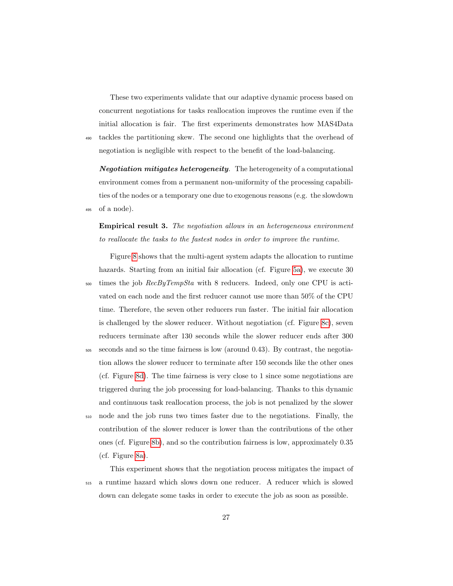These two experiments validate that our adaptive dynamic process based on concurrent negotiations for tasks reallocation improves the runtime even if the initial allocation is fair. The first experiments demonstrates how MAS4Data <sup>490</sup> tackles the partitioning skew. The second one highlights that the overhead of negotiation is negligible with respect to the benefit of the load-balancing.

**Negotiation mitigates heterogeneity.** The heterogeneity of a computational environment comes from a permanent non-uniformity of the processing capabilities of the nodes or a temporary one due to exogenous reasons (e.g. the slowdown <sup>495</sup> of a node).

# Empirical result 3. The negotiation allows in an heterogeneous environment to reallocate the tasks to the fastest nodes in order to improve the runtime.

Figure [8](#page-27-0) shows that the multi-agent system adapts the allocation to runtime hazards. Starting from an initial fair allocation (cf. Figure [5a\)](#page-22-3), we execute 30  $500$  times the job  $RecByTempSta$  with 8 reducers. Indeed, only one CPU is activated on each node and the first reducer cannot use more than 50% of the CPU time. Therefore, the seven other reducers run faster. The initial fair allocation is challenged by the slower reducer. Without negotiation (cf. Figure [8c\)](#page-27-1), seven reducers terminate after 130 seconds while the slower reducer ends after 300  $505$  seconds and so the time fairness is low (around 0.43). By contrast, the negotiation allows the slower reducer to terminate after 150 seconds like the other ones (cf. Figure [8d\)](#page-27-2). The time fairness is very close to 1 since some negotiations are triggered during the job processing for load-balancing. Thanks to this dynamic and continuous task reallocation process, the job is not penalized by the slower <sup>510</sup> node and the job runs two times faster due to the negotiations. Finally, the contribution of the slower reducer is lower than the contributions of the other ones (cf. Figure [8b\)](#page-27-3), and so the contribution fairness is low, approximately 0.35

(cf. Figure [8a\)](#page-27-4).

This experiment shows that the negotiation process mitigates the impact of <sup>515</sup> a runtime hazard which slows down one reducer. A reducer which is slowed down can delegate some tasks in order to execute the job as soon as possible.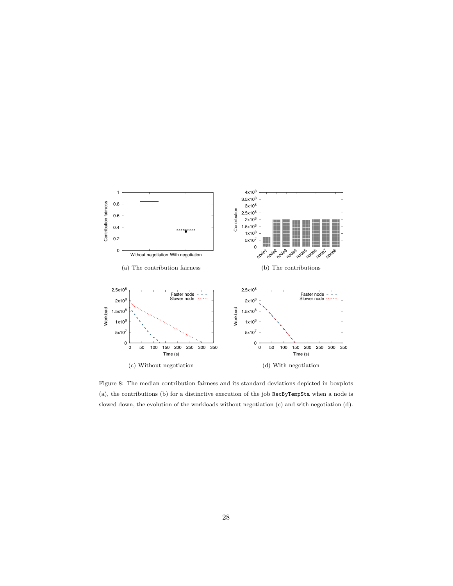<span id="page-27-4"></span><span id="page-27-3"></span><span id="page-27-1"></span><span id="page-27-0"></span>

<span id="page-27-2"></span>Figure 8: The median contribution fairness and its standard deviations depicted in boxplots (a), the contributions (b) for a distinctive execution of the job RecByTempSta when a node is slowed down, the evolution of the workloads without negotiation (c) and with negotiation (d).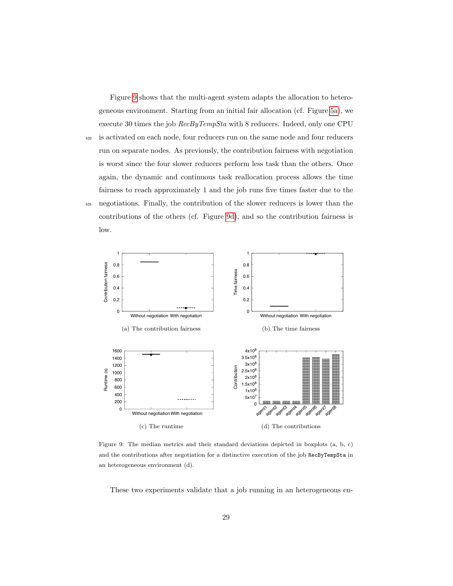Figure [9](#page-28-0) shows that the multi-agent system adapts the allocation to heterogeneous environment. Starting from an initial fair allocation (cf. Figure [5a\)](#page-22-3), we execute 30 times the job RecByTempSta with 8 reducers. Indeed, only one CPU <sup>520</sup> is activated on each node, four reducers run on the same node and four reducers run on separate nodes. As previously, the contribution fairness with negotiation is worst since the four slower reducers perform less task than the others. Once again, the dynamic and continuous task reallocation process allows the time fairness to reach approximately 1 and the job runs five times faster due to the <sup>525</sup> negotiations. Finally, the contribution of the slower reducers is lower than the contributions of the others (cf. Figure [9d\)](#page-28-1), and so the contribution fairness is low.

<span id="page-28-0"></span>

<span id="page-28-1"></span>Figure 9: The median metrics and their standard deviations depicted in boxplots (a, b, c) and the contributions after negotiation for a distinctive execution of the job RecByTempSta in an heterogeneous environment (d).

These two experiments validate that a job running in an heterogeneous en-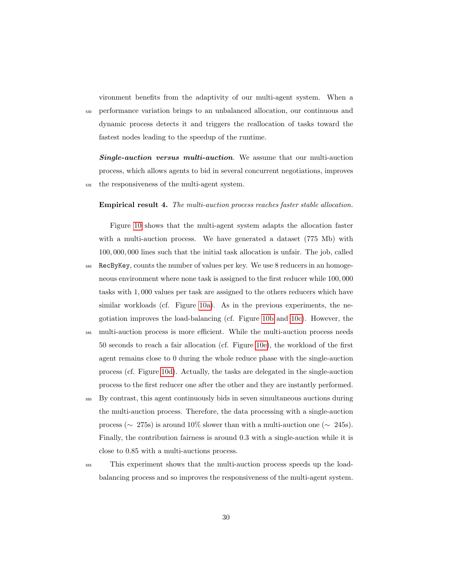vironment benefits from the adaptivity of our multi-agent system. When a <sup>530</sup> performance variation brings to an unbalanced allocation, our continuous and dynamic process detects it and triggers the reallocation of tasks toward the fastest nodes leading to the speedup of the runtime.

**Single-auction versus multi-auction**. We assume that our multi-auction process, which allows agents to bid in several concurrent negotiations, improves <sup>535</sup> the responsiveness of the multi-agent system.

#### Empirical result 4. The multi-auction process reaches faster stable allocation.

Figure [10](#page-30-0) shows that the multi-agent system adapts the allocation faster with a multi-auction process. We have generated a dataset (775 Mb) with 100, 000, 000 lines such that the initial task allocation is unfair. The job, called

- <sup>540</sup> RecByKey, counts the number of values per key. We use 8 reducers in an homogeneous environment where none task is assigned to the first reducer while 100, 000 tasks with 1, 000 values per task are assigned to the others reducers which have similar workloads (cf. Figure [10a\)](#page-30-1). As in the previous experiments, the negotiation improves the load-balancing (cf. Figure [10b](#page-30-2) and [10c\)](#page-30-3). However, the
- <sup>545</sup> multi-auction process is more efficient. While the multi-auction process needs 50 seconds to reach a fair allocation (cf. Figure [10e\)](#page-30-4), the workload of the first agent remains close to 0 during the whole reduce phase with the single-auction process (cf. Figure [10d\)](#page-30-5). Actually, the tasks are delegated in the single-auction process to the first reducer one after the other and they are instantly performed.
- <sup>550</sup> By contrast, this agent continuously bids in seven simultaneous auctions during the multi-auction process. Therefore, the data processing with a single-auction process ( $\sim 275$ s) is around 10% slower than with a multi-auction one ( $\sim 245$ s). Finally, the contribution fairness is around 0.3 with a single-auction while it is close to 0.85 with a multi-auctions process.
- <sup>555</sup> This experiment shows that the multi-auction process speeds up the loadbalancing process and so improves the responsiveness of the multi-agent system.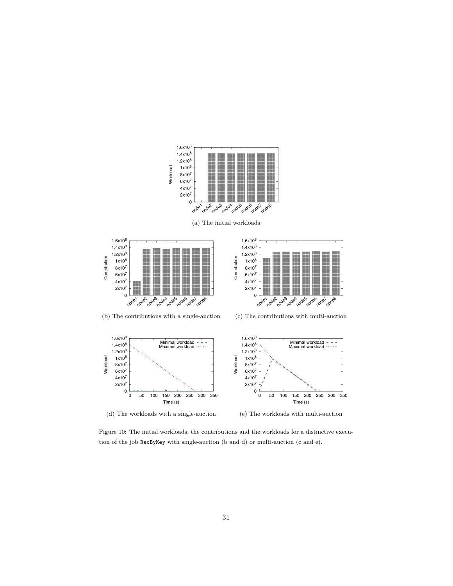<span id="page-30-2"></span><span id="page-30-1"></span><span id="page-30-0"></span>

<span id="page-30-5"></span><span id="page-30-4"></span><span id="page-30-3"></span>Figure 10: The initial workloads, the contributions and the workloads for a distinctive execution of the job RecByKey with single-auction (b and d) or multi-auction (c and e).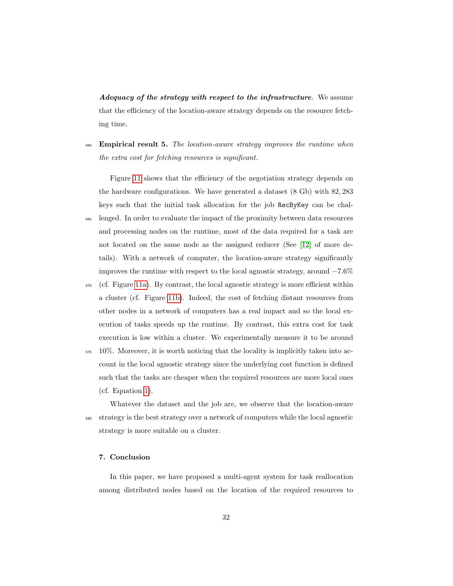Adequacy of the strategy with respect to the infrastructure. We assume that the efficiency of the location-aware strategy depends on the resource fetching time.

<sub>560</sub> **Empirical result 5.** The location-aware strategy improves the runtime when the extra cost for fetching resources is significant.

Figure [11](#page-32-0) shows that the efficiency of the negotiation strategy depends on the hardware configurations. We have generated a dataset (8 Gb) with 82, 283 keys such that the initial task allocation for the job RecByKey can be chal-<sup>565</sup> lenged. In order to evaluate the impact of the proximity between data resources and processing nodes on the runtime, most of the data required for a task are not located on the same node as the assigned reducer (See [\[12\]](#page-34-8) of more details). With a network of computer, the location-aware strategy significantly improves the runtime with respect to the local agnostic strategy, around −7.6%

- $570$  (cf. Figure [11a\)](#page-32-1). By contrast, the local agnostic strategy is more efficient within a cluster (cf. Figure [11b\)](#page-32-2). Indeed, the cost of fetching distant resources from other nodes in a network of computers has a real impact and so the local execution of tasks speeds up the runtime. By contrast, this extra cost for task execution is low within a cluster. We experimentally measure it to be around
- $575 \quad 10\%$ . Moreover, it is worth noticing that the locality is implicitly taken into account in the local agnostic strategy since the underlying cost function is defined such that the tasks are cheaper when the required resources are more local ones (cf. Equation [1\)](#page-8-2).

Whatever the dataset and the job are, we observe that the location-aware <sup>580</sup> strategy is the best strategy over a network of computers while the local agnostic strategy is more suitable on a cluster.

#### <span id="page-31-0"></span>7. Conclusion

In this paper, we have proposed a multi-agent system for task reallocation among distributed nodes based on the location of the required resources to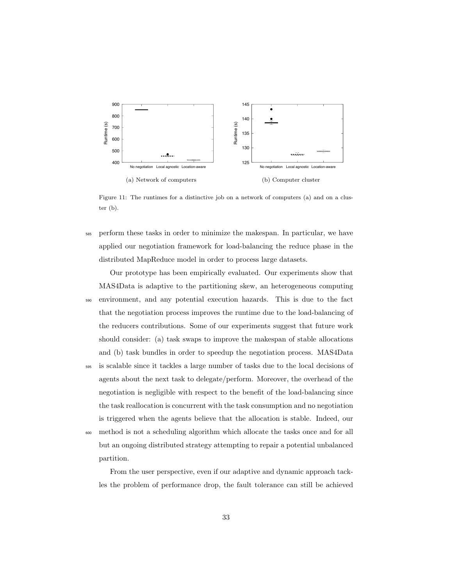<span id="page-32-1"></span><span id="page-32-0"></span>

<span id="page-32-2"></span>Figure 11: The runtimes for a distinctive job on a network of computers (a) and on a cluster (b).

<sup>585</sup> perform these tasks in order to minimize the makespan. In particular, we have applied our negotiation framework for load-balancing the reduce phase in the distributed MapReduce model in order to process large datasets.

Our prototype has been empirically evaluated. Our experiments show that MAS4Data is adaptive to the partitioning skew, an heterogeneous computing <sup>590</sup> environment, and any potential execution hazards. This is due to the fact that the negotiation process improves the runtime due to the load-balancing of the reducers contributions. Some of our experiments suggest that future work should consider: (a) task swaps to improve the makespan of stable allocations and (b) task bundles in order to speedup the negotiation process. MAS4Data

- <sup>595</sup> is scalable since it tackles a large number of tasks due to the local decisions of agents about the next task to delegate/perform. Moreover, the overhead of the negotiation is negligible with respect to the benefit of the load-balancing since the task reallocation is concurrent with the task consumption and no negotiation is triggered when the agents believe that the allocation is stable. Indeed, our
- <sup>600</sup> method is not a scheduling algorithm which allocate the tasks once and for all but an ongoing distributed strategy attempting to repair a potential unbalanced partition.

From the user perspective, even if our adaptive and dynamic approach tackles the problem of performance drop, the fault tolerance can still be achieved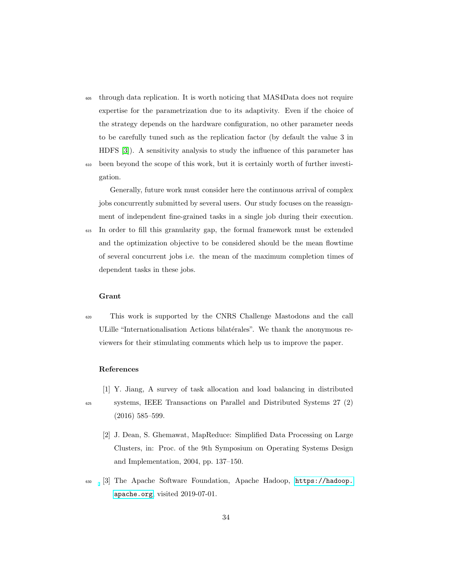- <sup>605</sup> through data replication. It is worth noticing that MAS4Data does not require expertise for the parametrization due to its adaptivity. Even if the choice of the strategy depends on the hardware configuration, no other parameter needs to be carefully tuned such as the replication factor (by default the value 3 in HDFS [\[3\]](#page-33-2)). A sensitivity analysis to study the influence of this parameter has
- <sup>610</sup> been beyond the scope of this work, but it is certainly worth of further investigation.

Generally, future work must consider here the continuous arrival of complex jobs concurrently submitted by several users. Our study focuses on the reassignment of independent fine-grained tasks in a single job during their execution.

<sup>615</sup> In order to fill this granularity gap, the formal framework must be extended and the optimization objective to be considered should be the mean flowtime of several concurrent jobs i.e. the mean of the maximum completion times of dependent tasks in these jobs.

#### Grant

<sup>620</sup> This work is supported by the CNRS Challenge Mastodons and the call ULille "Internationalisation Actions bilatérales". We thank the anonymous reviewers for their stimulating comments which help us to improve the paper.

#### <span id="page-33-0"></span>References

[1] Y. Jiang, A survey of task allocation and load balancing in distributed <sup>625</sup> systems, IEEE Transactions on Parallel and Distributed Systems 27 (2)

- (2016) 585–599. [2] J. Dean, S. Ghemawat, MapReduce: Simplified Data Processing on Large
- <span id="page-33-1"></span>Clusters, in: Proc. of the 9th Symposium on Operating Systems Design and Implementation, 2004, pp. 137–150.
- <span id="page-33-2"></span><sup>630</sup> [3] The Apache Software Foundation, Apache Hadoop, [https://hadoop.](https://hadoop.apache.org) [apache.org](https://hadoop.apache.org), visited 2019-07-01.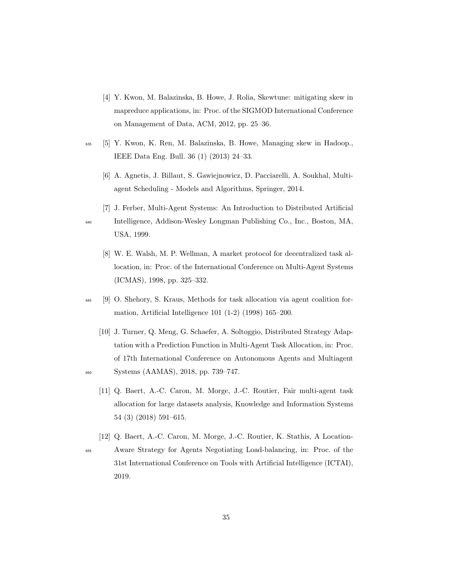- <span id="page-34-0"></span>[4] Y. Kwon, M. Balazinska, B. Howe, J. Rolia, Skewtune: mitigating skew in mapreduce applications, in: Proc. of the SIGMOD International Conference on Management of Data, ACM, 2012, pp. 25–36.
- <span id="page-34-2"></span><span id="page-34-1"></span><sup>635</sup> [5] Y. Kwon, K. Ren, M. Balazinska, B. Howe, Managing skew in Hadoop., IEEE Data Eng. Bull. 36 (1) (2013) 24–33.
	- [6] A. Agnetis, J. Billaut, S. Gawiejnowicz, D. Pacciarelli, A. Soukhal, Multiagent Scheduling - Models and Algorithms, Springer, 2014.
	- [7] J. Ferber, Multi-Agent Systems: An Introduction to Distributed Artificial

<span id="page-34-4"></span>

- <span id="page-34-3"></span><sup>640</sup> Intelligence, Addison-Wesley Longman Publishing Co., Inc., Boston, MA, USA, 1999.
	- [8] W. E. Walsh, M. P. Wellman, A market protocol for decentralized task allocation, in: Proc. of the International Conference on Multi-Agent Systems (ICMAS), 1998, pp. 325–332.
- <span id="page-34-5"></span><sup>645</sup> [9] O. Shehory, S. Kraus, Methods for task allocation via agent coalition formation, Artificial Intelligence 101 (1-2) (1998) 165–200.
- <span id="page-34-7"></span><span id="page-34-6"></span>[10] J. Turner, Q. Meng, G. Schaefer, A. Soltoggio, Distributed Strategy Adaptation with a Prediction Function in Multi-Agent Task Allocation, in: Proc. of 17th International Conference on Autonomous Agents and Multiagent <sup>650</sup> Systems (AAMAS), 2018, pp. 739–747.
	- [11] Q. Baert, A.-C. Caron, M. Morge, J.-C. Routier, Fair multi-agent task allocation for large datasets analysis, Knowledge and Information Systems 54 (3) (2018) 591–615.
	- [12] Q. Baert, A.-C. Caron, M. Morge, J.-C. Routier, K. Stathis, A Location-
- <span id="page-34-8"></span><sup>655</sup> Aware Strategy for Agents Negotiating Load-balancing, in: Proc. of the 31st International Conference on Tools with Artificial Intelligence (ICTAI), 2019.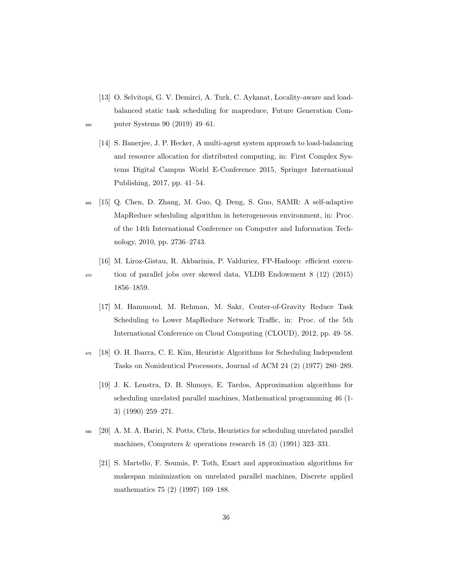- <span id="page-35-0"></span>[13] O. Selvitopi, G. V. Demirci, A. Turk, C. Aykanat, Locality-aware and loadbalanced static task scheduling for mapreduce, Future Generation Com-<sup>660</sup> puter Systems 90 (2019) 49–61.
- 
- <span id="page-35-1"></span>[14] S. Banerjee, J. P. Hecker, A multi-agent system approach to load-balancing and resource allocation for distributed computing, in: First Complex Systems Digital Campus World E-Conference 2015, Springer International Publishing, 2017, pp. 41–54.
- <span id="page-35-2"></span><sup>665</sup> [15] Q. Chen, D. Zhang, M. Guo, Q. Deng, S. Guo, SAMR: A self-adaptive MapReduce scheduling algorithm in heterogeneous environment, in: Proc. of the 14th International Conference on Computer and Information Technology, 2010, pp. 2736–2743.
- <span id="page-35-4"></span><span id="page-35-3"></span>[16] M. Liroz-Gistau, R. Akbarinia, P. Valduriez, FP-Hadoop: efficient execu-<sup>670</sup> tion of parallel jobs over skewed data, VLDB Endowment 8 (12) (2015) 1856–1859.
	- [17] M. Hammoud, M. Rehman, M. Sakr, Center-of-Gravity Reduce Task Scheduling to Lower MapReduce Network Traffic, in: Proc. of the 5th International Conference on Cloud Computing (CLOUD), 2012, pp. 49–58.
- <span id="page-35-6"></span><span id="page-35-5"></span><sup>675</sup> [18] O. H. Ibarra, C. E. Kim, Heuristic Algorithms for Scheduling Independent Tasks on Nonidentical Processors, Journal of ACM 24 (2) (1977) 280–289.
	- [19] J. K. Lenstra, D. B. Shmoys, E. Tardos, Approximation algorithms for scheduling unrelated parallel machines, Mathematical programming 46 (1- 3) (1990) 259–271.
- <span id="page-35-8"></span><span id="page-35-7"></span><sup>680</sup> [20] A. M. A. Hariri, N. Potts, Chris, Heuristics for scheduling unrelated parallel machines, Computers & operations research 18 (3) (1991) 323–331.
	- [21] S. Martello, F. Soumis, P. Toth, Exact and approximation algorithms for makespan minimization on unrelated parallel machines, Discrete applied mathematics 75 (2) (1997) 169–188.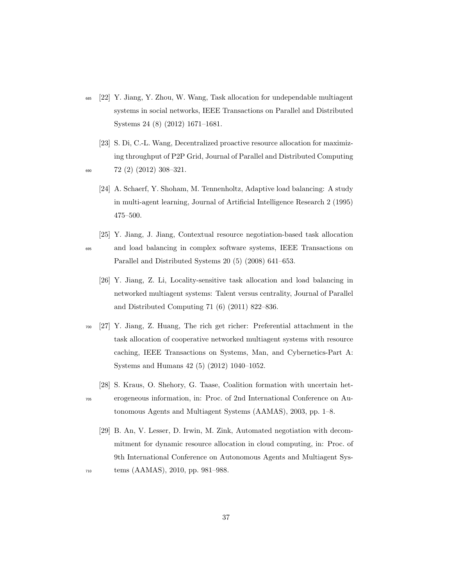- <span id="page-36-0"></span><sup>685</sup> [22] Y. Jiang, Y. Zhou, W. Wang, Task allocation for undependable multiagent systems in social networks, IEEE Transactions on Parallel and Distributed Systems 24 (8) (2012) 1671–1681.
- <span id="page-36-1"></span>[23] S. Di, C.-L. Wang, Decentralized proactive resource allocation for maximizing throughput of P2P Grid, Journal of Parallel and Distributed Computing  $\frac{690}{72}$  (2) (2012) 308-321.
- 
- <span id="page-36-2"></span>[24] A. Schaerf, Y. Shoham, M. Tennenholtz, Adaptive load balancing: A study in multi-agent learning, Journal of Artificial Intelligence Research 2 (1995) 475–500.
- <span id="page-36-4"></span><span id="page-36-3"></span>[25] Y. Jiang, J. Jiang, Contextual resource negotiation-based task allocation <sup>695</sup> and load balancing in complex software systems, IEEE Transactions on Parallel and Distributed Systems 20 (5) (2008) 641–653.
	- [26] Y. Jiang, Z. Li, Locality-sensitive task allocation and load balancing in networked multiagent systems: Talent versus centrality, Journal of Parallel and Distributed Computing 71 (6) (2011) 822–836.
- <span id="page-36-5"></span><sup>700</sup> [27] Y. Jiang, Z. Huang, The rich get richer: Preferential attachment in the task allocation of cooperative networked multiagent systems with resource caching, IEEE Transactions on Systems, Man, and Cybernetics-Part A: Systems and Humans 42 (5) (2012) 1040–1052.
	- [28] S. Kraus, O. Shehory, G. Taase, Coalition formation with uncertain het-
- <span id="page-36-6"></span><sup>705</sup> erogeneous information, in: Proc. of 2nd International Conference on Autonomous Agents and Multiagent Systems (AAMAS), 2003, pp. 1–8.
- <span id="page-36-7"></span>[29] B. An, V. Lesser, D. Irwin, M. Zink, Automated negotiation with decommitment for dynamic resource allocation in cloud computing, in: Proc. of 9th International Conference on Autonomous Agents and Multiagent Sys-<sup>710</sup> tems (AAMAS), 2010, pp. 981–988.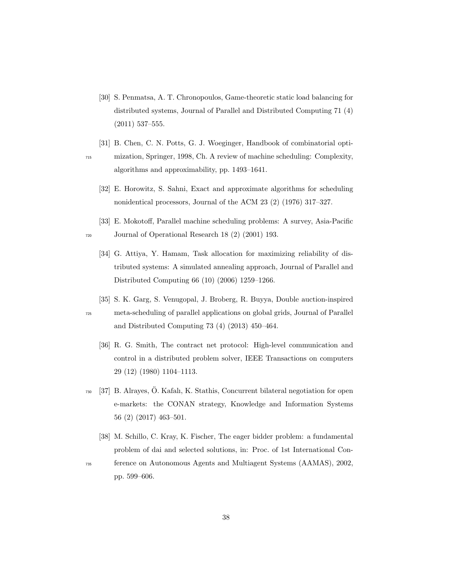- <span id="page-37-1"></span>[30] S. Penmatsa, A. T. Chronopoulos, Game-theoretic static load balancing for distributed systems, Journal of Parallel and Distributed Computing 71 (4) (2011) 537–555.
- <span id="page-37-2"></span><span id="page-37-0"></span>[31] B. Chen, C. N. Potts, G. J. Woeginger, Handbook of combinatorial opti-<sup>715</sup> mization, Springer, 1998, Ch. A review of machine scheduling: Complexity, algorithms and approximability, pp. 1493–1641.
	- [32] E. Horowitz, S. Sahni, Exact and approximate algorithms for scheduling nonidentical processors, Journal of the ACM 23 (2) (1976) 317–327.
- <span id="page-37-4"></span><span id="page-37-3"></span>[33] E. Mokotoff, Parallel machine scheduling problems: A survey, Asia-Pacific <sup>720</sup> Journal of Operational Research 18 (2) (2001) 193.
	- [34] G. Attiya, Y. Hamam, Task allocation for maximizing reliability of distributed systems: A simulated annealing approach, Journal of Parallel and Distributed Computing 66 (10) (2006) 1259–1266.
- <span id="page-37-6"></span><span id="page-37-5"></span>[35] S. K. Garg, S. Venugopal, J. Broberg, R. Buyya, Double auction-inspired <sup>725</sup> meta-scheduling of parallel applications on global grids, Journal of Parallel and Distributed Computing 73 (4) (2013) 450–464.
	- [36] R. G. Smith, The contract net protocol: High-level communication and control in a distributed problem solver, IEEE Transactions on computers 29 (12) (1980) 1104–1113.
- <span id="page-37-7"></span> $730\quad$  [37] B. Alrayes, Ö. Kafalı, K. Stathis, Concurrent bilateral negotiation for open e-markets: the CONAN strategy, Knowledge and Information Systems 56 (2) (2017) 463–501.
- <span id="page-37-8"></span>[38] M. Schillo, C. Kray, K. Fischer, The eager bidder problem: a fundamental problem of dai and selected solutions, in: Proc. of 1st International Con-<sup>735</sup> ference on Autonomous Agents and Multiagent Systems (AAMAS), 2002,
- 

pp. 599–606.